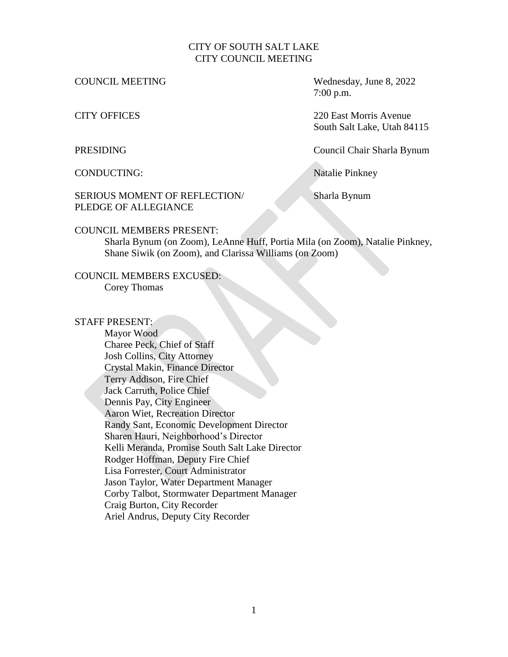### CITY OF SOUTH SALT LAKE CITY COUNCIL MEETING

COUNCIL MEETING Wednesday, June 8, 2022 7:00 p.m.

CITY OFFICES 220 East Morris Avenue South Salt Lake, Utah 84115

PRESIDING Council Chair Sharla Bynum

CONDUCTING: Natalie Pinkney

### SERIOUS MOMENT OF REFLECTION/ Sharla Bynum PLEDGE OF ALLEGIANCE

### COUNCIL MEMBERS PRESENT:

Sharla Bynum (on Zoom), LeAnne Huff, Portia Mila (on Zoom), Natalie Pinkney, Shane Siwik (on Zoom), and Clarissa Williams (on Zoom)

### COUNCIL MEMBERS EXCUSED: Corey Thomas

### STAFF PRESENT:

Mayor Wood Charee Peck, Chief of Staff Josh Collins, City Attorney Crystal Makin, Finance Director Terry Addison, Fire Chief Jack Carruth, Police Chief Dennis Pay, City Engineer Aaron Wiet, Recreation Director Randy Sant, Economic Development Director Sharen Hauri, Neighborhood's Director Kelli Meranda, Promise South Salt Lake Director Rodger Hoffman, Deputy Fire Chief Lisa Forrester, Court Administrator Jason Taylor, Water Department Manager Corby Talbot, Stormwater Department Manager Craig Burton, City Recorder Ariel Andrus, Deputy City Recorder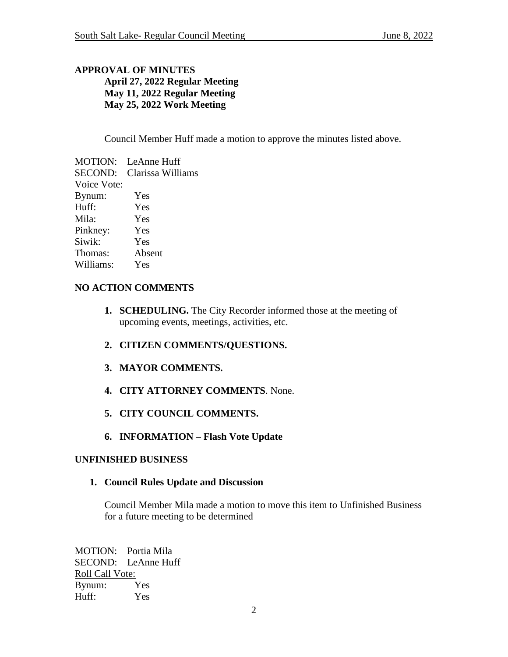# **APPROVAL OF MINUTES April 27, 2022 Regular Meeting May 11, 2022 Regular Meeting May 25, 2022 Work Meeting**

Council Member Huff made a motion to approve the minutes listed above.

| MOTION:        | LeAnne Huff       |
|----------------|-------------------|
| <b>SECOND:</b> | Clarissa Williams |
| Voice Vote:    |                   |
| Bynum:         | Yes               |
| Huff:          | Yes               |
| Mila:          | Yes               |
| Pinkney:       | Yes               |
| Siwik:         | Yes               |
| Thomas:        | Absent            |
| Williams:      | Yes               |
|                |                   |

# **NO ACTION COMMENTS**

- **1. SCHEDULING.** The City Recorder informed those at the meeting of upcoming events, meetings, activities, etc.
- **2. CITIZEN COMMENTS/QUESTIONS.**
- **3. MAYOR COMMENTS.**
- **4. CITY ATTORNEY COMMENTS**. None.
- **5. CITY COUNCIL COMMENTS.**
- **6. INFORMATION – Flash Vote Update**

## **UNFINISHED BUSINESS**

**1. Council Rules Update and Discussion**

Council Member Mila made a motion to move this item to Unfinished Business for a future meeting to be determined

MOTION: Portia Mila SECOND: LeAnne Huff Roll Call Vote: Bynum: Yes Huff: Yes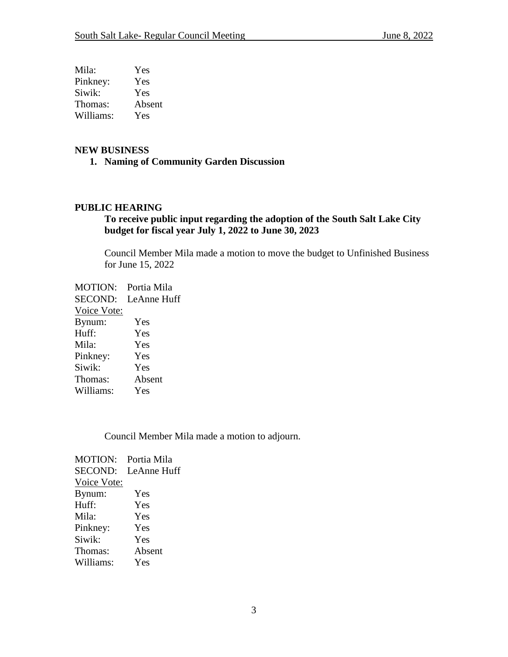| Mila:     | Yes    |
|-----------|--------|
| Pinkney:  | Yes    |
| Siwik:    | Yes    |
| Thomas:   | Absent |
| Williams: | Yes    |

### **NEW BUSINESS**

**1. Naming of Community Garden Discussion**

### **PUBLIC HEARING**

## **To receive public input regarding the adoption of the South Salt Lake City budget for fiscal year July 1, 2022 to June 30, 2023**

Council Member Mila made a motion to move the budget to Unfinished Business for June 15, 2022

MOTION: Portia Mila SECOND: LeAnne Huff Voice Vote: Bynum: Yes Huff: Yes Mila: Yes Pinkney: Yes Siwik: Yes Thomas: Absent Williams: Yes

Council Member Mila made a motion to adjourn.

MOTION: Portia Mila SECOND: LeAnne Huff Voice Vote: Bynum: Yes Huff: Yes Mila: Yes Pinkney: Yes Siwik: Yes Thomas: Absent Williams: Yes